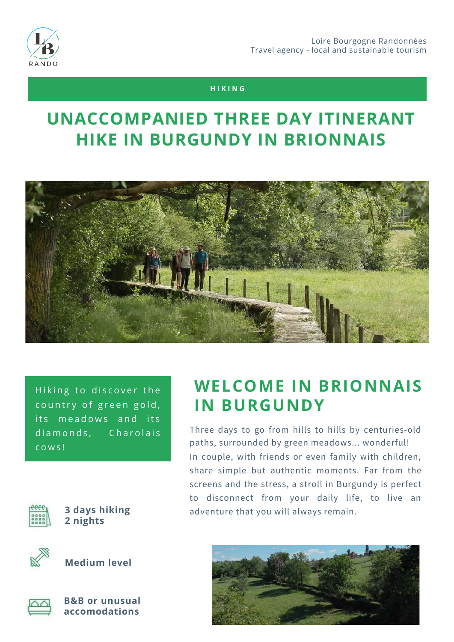

### **H I K I N G**

### **UNACCOMPANIED THREE DAY ITINERANT HIKE IN BURGUNDY IN BRIONNAIS**



Hiking to discover the country of green gold, its meadows and its diamonds, Charolais c o w s !



**2 nights**



**Medium level**



**B&B or unusual accomodations**

### **WELCOME IN BRIONNAIS IN BURGUNDY**

Three days to go from hills to hills by centuries-old paths, surrounded by green meadows... wonderful! In couple, with friends or even family with children, share simple but authentic moments. Far from the screens and the stress, a stroll in Burgundy is perfect to disconnect from your daily life, to live an **3 days hiking** adventure that you will always remain.

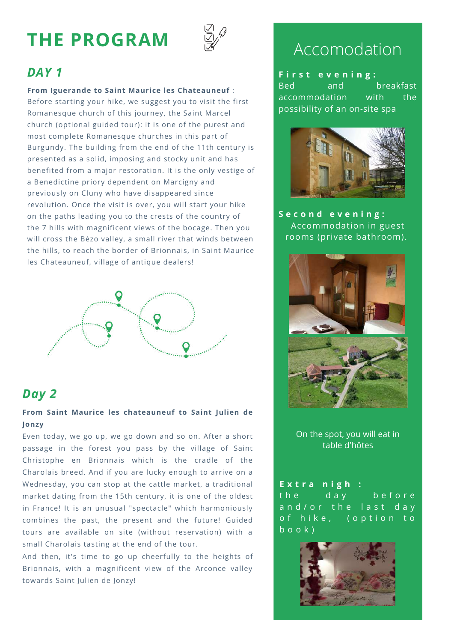# **THE PROGRAM**



### *DAY 1*

#### **From Iguerande to Saint Maurice les Chateauneuf** :

Before starting your hike, we suggest you to visit the first Romanesque church of this journey, the Saint Marcel church (optional guided tour): it is one of the purest and most complete Romanesque churches in this part of Burgundy. The building from the end of the 11th century is presented as a solid, imposing and stocky unit and has benefited from a major restoration. It is the only vestige of a Benedictine priory dependent on Marcigny and previously on Cluny who have disappeared since revolution. Once the visit is over, you will start your hike on the paths leading you to the crests of the country of the 7 hills with magnificent views of the bocage. Then you will cross the Bézo valley, a small river that winds between the hills, to reach the border of Brionnais, in Saint Maurice les Chateauneuf, village of antique dealers!



### *Day 2*

#### **From Saint Maurice les chateauneuf to Saint Julien de Jonzy**

**W A L K I N G L E V E L** Wednesday, you can stop at the cattle market, a traditional Even today, we go up, we go down and so on. After a short passage in the forest you pass by the village of Saint Christophe en Brionnais which is the cradle of the Charolais breed. And if you are lucky enough to arrive on a market dating from the 15th century, it is one of the oldest in France! It is an unusual "spectacle" which harmoniously combines the past, the present and the future! Guided tours are available on site (without reservation) with a small Charolais tasting at the end of the tour.

And then, it's time to go up cheerfully to the heights of Brionnais, with a magnificent view of the Arconce valley towards Saint Julien de Jonzy!

### Accomodation

**F i r s t e v e n i n g :** Bed and breakfast accommodation with the possibility of an on-site spa



**S e c o n d e v e n i n g :** Accommodation in guest rooms (private bathroom).



On the spot, you will eat in table d'hôtes

**E x t r a n i g h :** the day before and/or the last day of hike, (option to  $b$  o o  $k$ )

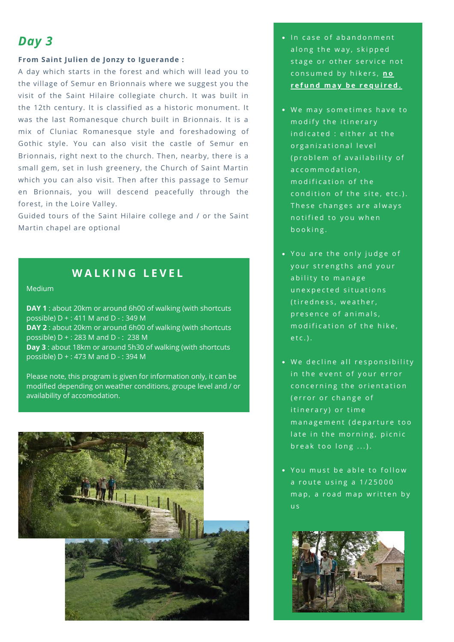### *Day 3*

#### **From Saint Julien de Jonzy to Iguerande :**

A day which starts in the forest and which will lead you to the village of Semur en Brionnais where we suggest you the visit of the Saint Hilaire collegiate church. It was built in the 12th century. It is classified as a historic monument. It was the last Romanesque church built in Brionnais. It is a mix of Cluniac Romanesque style and foreshadowing of Gothic style. You can also visit the castle of Semur en Brionnais, right next to the church. Then, nearby, there is a small gem, set in lush greenery, the Church of Saint Martin which you can also visit. Then after this passage to Semur en Brionnais, you will descend peacefully through the forest, in the Loire Valley.

Guided tours of the Saint Hilaire college and / or the Saint Martin chapel are optional

### **W A L K I N G L E V E L**

Medium

**DAY 1** : about 20km or around 6h00 of walking (with shortcuts possible) D + : 411 M and D - : 349 M **DAY 2** : about 20km or around 6h00 of walking (with shortcuts possible) D + : 283 M and D - : 238 M **Day 3** : about 18km or around 5h30 of walking (with shortcuts possible) D + : 473 M and D - : 394 M

Please note, this program is given for information only, it can be modified depending on weather conditions, groupe level and / or availability of accomodation.



- In case of abandonment along the way, skipped stage or other service not consumed by hikers, no **r e f u n d m a y b e r e q u i r e d .**
- . We may sometimes have to modify the itinerary indicated : either at the organizational level (problem of availability of a c c o m m o d a t i o n, modification of the condition of the site, etc.). These changes are always notified to you when booking.
- You are the only judge of your strengths and your a bility to manage unexpected situations (tiredness, weather, presence of animals, modification of the hike,  $etc.$ ).
- . We decline all responsibility in the event of your error concerning the orientation (error or change of itinerary) or time m a n a g e m e n t (departure too late in the morning, picnic break too  $long...$ ).
- You must be able to follow a route using a 1/25000 map, a road map written by u s

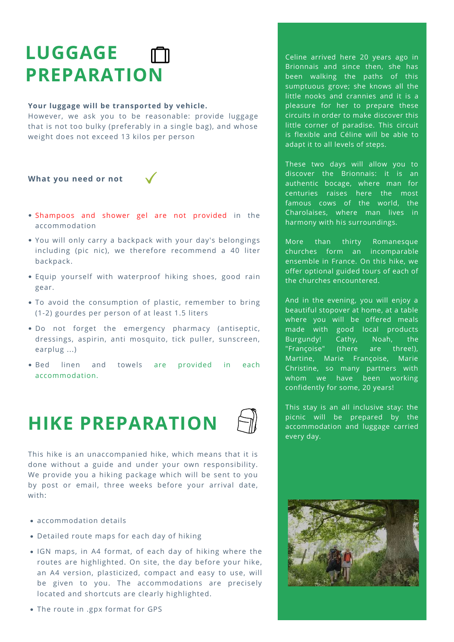# **LUGGAGE PREPARATION**

#### **Your luggage will be transported by vehicle.**

However, we ask you to be reasonable: provide luggage that is not too bulky (preferably in a single bag), and whose weight does not exceed 13 kilos per person

**What you need or not**



- Shampoos and shower gel are not provided in the accommodation
- You will only carry a backpack with your day's belongings including (pic nic), we therefore recommend a 40 liter backpack.
- Equip yourself with waterproof hiking shoes, good rain gear.
- To avoid the consumption of plastic, remember to bring (1-2) gourdes per person of at least 1.5 liters
- Do not forget the emergency pharmacy (antiseptic, dressings, aspirin, anti mosquito, tick puller, sunscreen, earplug ...)
- Bed linen and towels are provided in each accommodation.

# **HIKE PREPARATION**



This hike is an unaccompanied hike, which means that it is done without a guide and under your own responsibility. We provide you a hiking package which will be sent to you by post or email, three weeks before your arrival date, with:

- accommodation details
- Detailed route maps for each day of hiking
- IGN maps, in A4 format, of each day of hiking where the routes are highlighted. On site, the day before your hike, an A4 version, plasticized, compact and easy to use, will be given to you. The accommodations are precisely located and shortcuts are clearly highlighted.
- The route in .gpx format for GPS

Celine arrived here 20 years ago in Brionnais and since then, she has been walking the paths of this sumptuous grove; she knows all the little nooks and crannies and it is a pleasure for her to prepare these circuits in order to make discover this little corner of paradise. This circuit is flexible and Céline will be able to adapt it to all levels of steps.

These two days will allow you to discover the Brionnais: it is an authentic bocage, where man for centuries raises here the most famous cows of the world, the Charolaises, where man lives in harmony with his surroundings.

More than thirty Romanesque churches form an incomparable ensemble in France. On this hike, we offer optional guided tours of each of the churches encountered.

And in the evening, you will enjoy a beautiful stopover at home, at a table where you will be offered meals made with good local products Burgundy! Cathy, Noah, the "Françoise" (there are three!), Martine, Marie Françoise, Marie Christine, so many partners with whom we have been working confidently for some, 20 years!

This stay is an all inclusive stay: the picnic will be prepared by the accommodation and luggage carried every day.

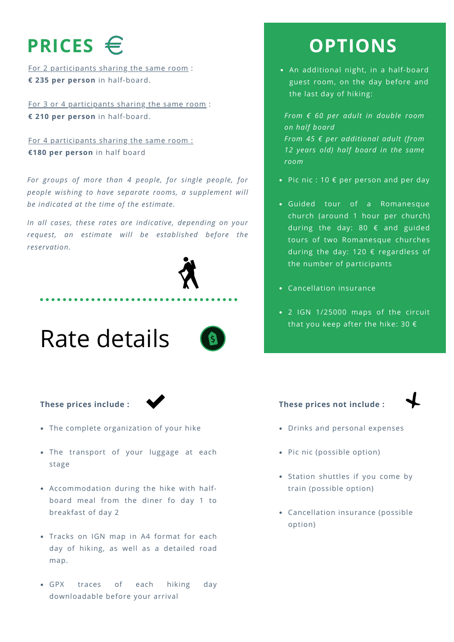# **PRICES**

For 2 participants sharing the same room : **€ 235 per person** in half-board.

For 3 or 4 participants sharing the same room : **€ 210 per person** in half-board.

For 4 participants sharing the same room : **€180 per person** in half board

*For groups of more than 4 people, for single people, for people wishing to have separate rooms, a supplement will be indicated at the time of the estimate.*

*In all cases, these rates are indicative, depending on your request, an estimate will be established before the reservation.*





#### **These prices include :**

- The complete organization of your hike
- The transport of your luggage at each stage
- Accommodation during the hike with halfboard meal from the diner fo day 1 to breakfast of day 2
- Tracks on IGN map in A4 format for each day of hiking, as well as a detailed road map.
- GPX traces of each hiking day downloadable before your arrival

## **OPTIONS**

An additional night, in a half-board guest room, on the day before and the last day of hiking:

*From € 60 per adult in double room on half board From 45 € per additional adult (from 12 years old) half board in the same room*

- Pic nic : 10  $\epsilon$  per person and per day
- Guided tour of a Romanesque church (around 1 hour per church) during the day: 80 € and guided tours of two Romanesque churches during the day: 120 € regardless of the number of participants
- Cancellation insurance
- 2 IGN 1/25000 maps of the circuit that you keep after the hike: 30  $\epsilon$

#### **These prices not include :**



- Drinks and personal expenses
- Pic nic (possible option)
- Station shuttles if you come by train (possible option)
- Cancellation insurance (possible option)